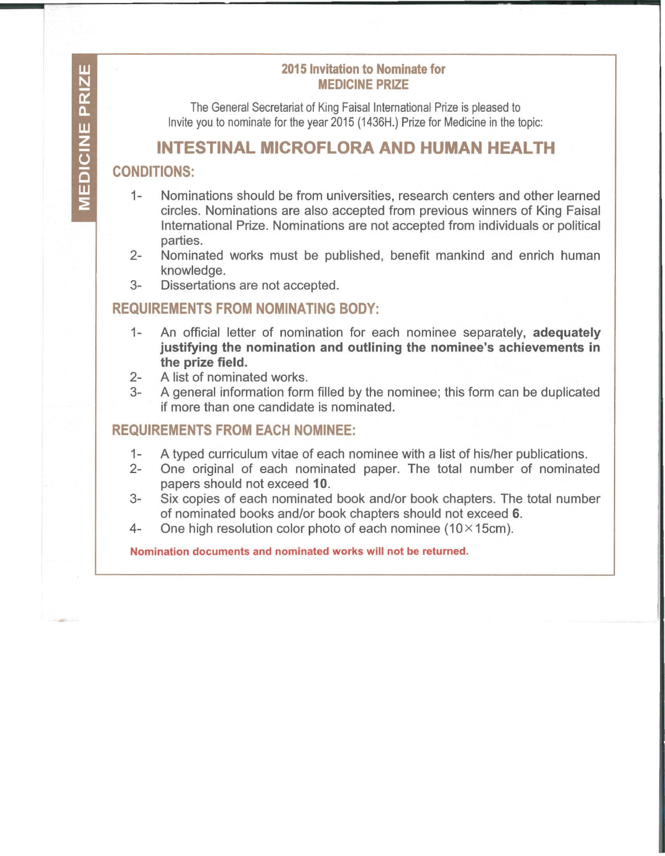#### **2015 Invitation to Nominate for MEDICINE PRIZE**

The General Secretariat of King Faisal International Prize is pleased to Invite you to nominate for the year 2015 (1436H.) Prize for Medicine in the topic:

# **INTESTINAL MICROFLORA AND HUMAN HEALTH**

## **CONDITIONS:**

- 1- Nominations should be from universities, research centers and other learned circles. Nominations are also accepted from previous winners of King Faisal International Prize. Nominations are not accepted from individuals or political parties.
- 2- Nominated works must be published, benefit mankind and enrich human knowledge.
- 3- Dissertations are not accepted.

# **REQUIREMENTS FROM NOMINATING BODY:**

- 1- An official letter of nomination for each nominee separately, **adequately justifying the nomination and outlining the nominee's achievements in the prize field.**
- 2- A list of nominated works.
- 3- A general information form filled by the nominee; this form can be duplicated if more than one candidate is nominated.

## **REQUIREMENTS FROM EACH NOMINEE:**

- 1- A typed curriculum vitae of each nominee with a list of his/her publications.
- 2- One original of each nominated paper. The total number of nominated papers should not exceed **10.**
- 3- Six copies of each nominated book and/or book chapters. The total number of nominated books and/or book chapters should not exceed **6.**
- 4- One high resolution color photo of each nominee  $(10 \times 15$ cm).

Nomination documents and nominated works will not be returned.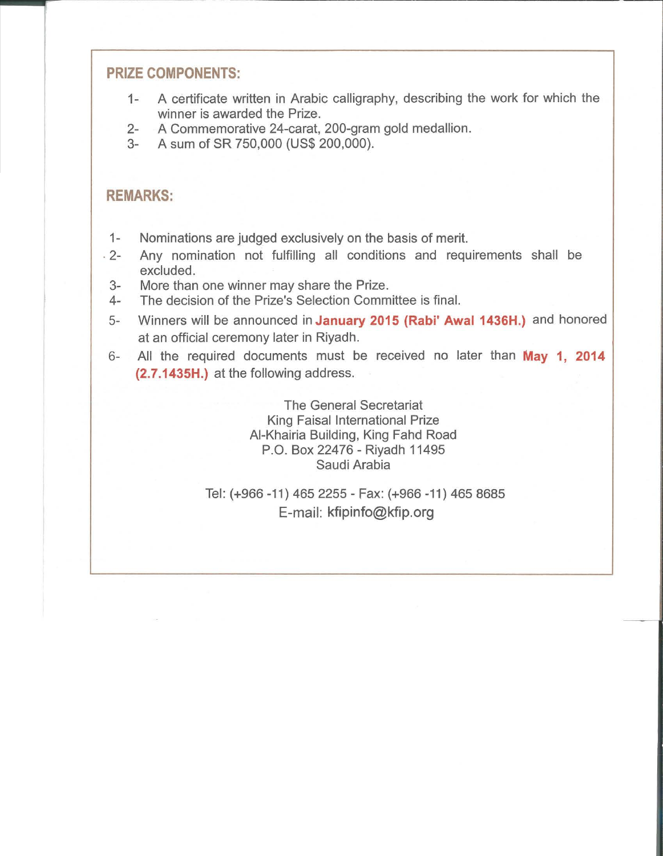#### **PRIZE COMPONENTS:**

- 1- A certificate written in Arabic calligraphy, describing the work for which the winner is awarded the Prize.
- 2- A Commemorative 24-carat, 200-gram gold medallion.
- 3- A sum of SR 750,000 (US\$ 200,000).

#### **REMARKS:**

- 1- Nominations are judged exclusively on the basis of merit.
- . 2- Any nomination not fulfilling all conditions and requirements shall be excluded.
	- 3- More than one winner may share the Prize.
- 4- The decision of the Prize's Selection Committee is final.
- 5- Winners will be announced in **January 2015 (Rabi' Awal 1436H.)** and honored at an official ceremony later in Riyadh.
- 6- All the required documents must be received no later than **May 1, 2014 (2.7.1435H.)** at the following address.

The General Secretariat King Faisal International Prize AI-Khairia Building, King Fahd Road P.O. Box 22476- Riyadh 11495 Saudi Arabia

Tel: (+966 -11) 465 2255- Fax: (+966 -11) 465 8685 E-mail: kfipinfo@kfip.org